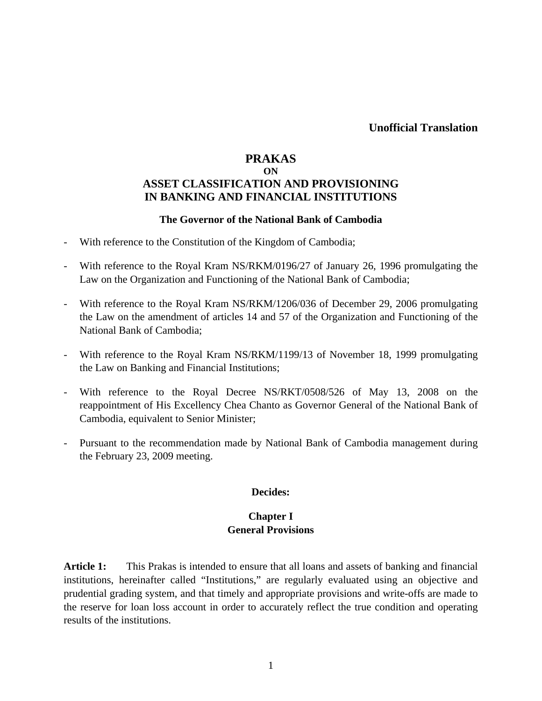# **PRAKAS ON ASSET CLASSIFICATION AND PROVISIONING IN BANKING AND FINANCIAL INSTITUTIONS**

#### **The Governor of the National Bank of Cambodia**

- With reference to the Constitution of the Kingdom of Cambodia;
- With reference to the Royal Kram NS/RKM/0196/27 of January 26, 1996 promulgating the Law on the Organization and Functioning of the National Bank of Cambodia;
- With reference to the Royal Kram NS/RKM/1206/036 of December 29, 2006 promulgating the Law on the amendment of articles 14 and 57 of the Organization and Functioning of the National Bank of Cambodia;
- With reference to the Royal Kram NS/RKM/1199/13 of November 18, 1999 promulgating the Law on Banking and Financial Institutions;
- With reference to the Royal Decree NS/RKT/0508/526 of May 13, 2008 on the reappointment of His Excellency Chea Chanto as Governor General of the National Bank of Cambodia, equivalent to Senior Minister;
- Pursuant to the recommendation made by National Bank of Cambodia management during the February 23, 2009 meeting.

#### **Decides:**

### **Chapter I General Provisions**

**Article 1:** This Prakas is intended to ensure that all loans and assets of banking and financial institutions, hereinafter called "Institutions," are regularly evaluated using an objective and prudential grading system, and that timely and appropriate provisions and write-offs are made to the reserve for loan loss account in order to accurately reflect the true condition and operating results of the institutions.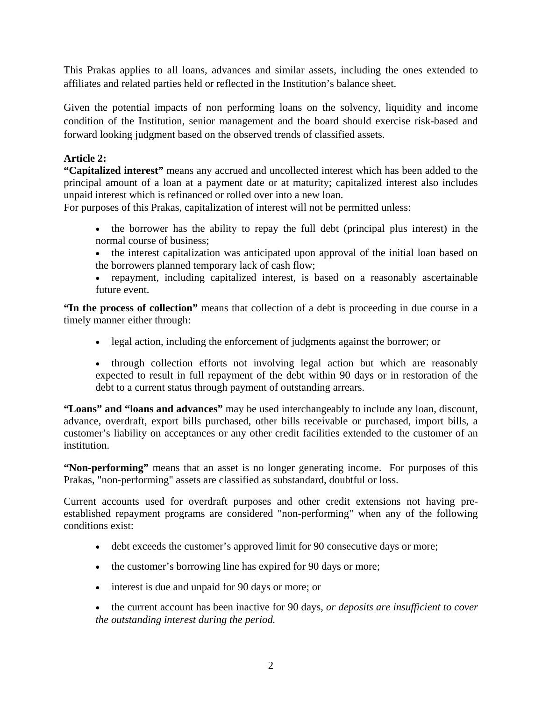This Prakas applies to all loans, advances and similar assets, including the ones extended to affiliates and related parties held or reflected in the Institution's balance sheet.

Given the potential impacts of non performing loans on the solvency, liquidity and income condition of the Institution, senior management and the board should exercise risk-based and forward looking judgment based on the observed trends of classified assets.

## **Article 2:**

**"Capitalized interest"** means any accrued and uncollected interest which has been added to the principal amount of a loan at a payment date or at maturity; capitalized interest also includes unpaid interest which is refinanced or rolled over into a new loan.

For purposes of this Prakas, capitalization of interest will not be permitted unless:

- the borrower has the ability to repay the full debt (principal plus interest) in the normal course of business;
- the interest capitalization was anticipated upon approval of the initial loan based on the borrowers planned temporary lack of cash flow;
- repayment, including capitalized interest, is based on a reasonably ascertainable future event.

**"In the process of collection"** means that collection of a debt is proceeding in due course in a timely manner either through:

- legal action, including the enforcement of judgments against the borrower; or
- through collection efforts not involving legal action but which are reasonably expected to result in full repayment of the debt within 90 days or in restoration of the debt to a current status through payment of outstanding arrears.

**"Loans" and "loans and advances"** may be used interchangeably to include any loan, discount, advance, overdraft, export bills purchased, other bills receivable or purchased, import bills, a customer's liability on acceptances or any other credit facilities extended to the customer of an institution.

**"Non-performing"** means that an asset is no longer generating income. For purposes of this Prakas, "non-performing" assets are classified as substandard, doubtful or loss.

Current accounts used for overdraft purposes and other credit extensions not having preestablished repayment programs are considered "non-performing" when any of the following conditions exist:

- debt exceeds the customer's approved limit for 90 consecutive days or more;
- the customer's borrowing line has expired for 90 days or more;
- interest is due and unpaid for 90 days or more; or
- the current account has been inactive for 90 days, *or deposits are insufficient to cover the outstanding interest during the period.*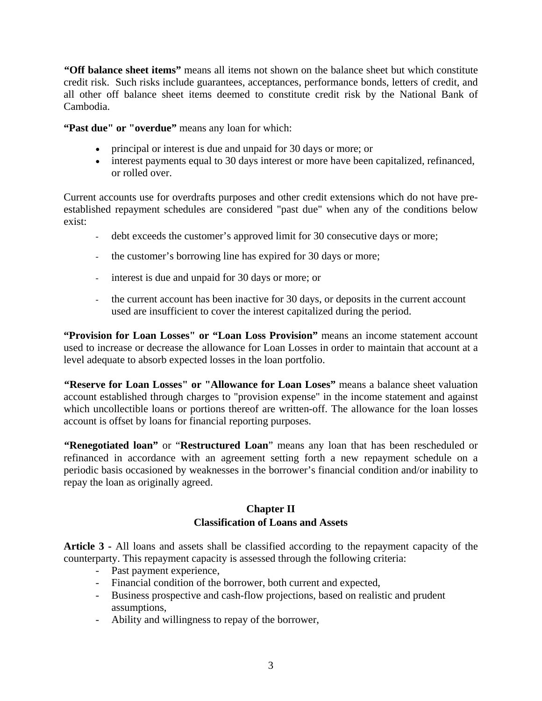**"Off balance sheet items"** means all items not shown on the balance sheet but which constitute credit risk. Such risks include guarantees, acceptances, performance bonds, letters of credit, and all other off balance sheet items deemed to constitute credit risk by the National Bank of Cambodia.

**"Past due" or "overdue"** means any loan for which:

- principal or interest is due and unpaid for 30 days or more; or
- interest payments equal to 30 days interest or more have been capitalized, refinanced, or rolled over.

Current accounts use for overdrafts purposes and other credit extensions which do not have preestablished repayment schedules are considered "past due" when any of the conditions below exist:

- debt exceeds the customer's approved limit for 30 consecutive days or more;
- the customer's borrowing line has expired for 30 days or more;
- interest is due and unpaid for 30 days or more; or
- the current account has been inactive for 30 days, or deposits in the current account used are insufficient to cover the interest capitalized during the period.

**"Provision for Loan Losses" or "Loan Loss Provision"** means an income statement account used to increase or decrease the allowance for Loan Losses in order to maintain that account at a level adequate to absorb expected losses in the loan portfolio.

**"Reserve for Loan Losses" or "Allowance for Loan Loses"** means a balance sheet valuation account established through charges to "provision expense" in the income statement and against which uncollectible loans or portions thereof are written-off. The allowance for the loan losses account is offset by loans for financial reporting purposes.

**"Renegotiated loan"** or "**Restructured Loan**" means any loan that has been rescheduled or refinanced in accordance with an agreement setting forth a new repayment schedule on a periodic basis occasioned by weaknesses in the borrower's financial condition and/or inability to repay the loan as originally agreed.

# **Chapter II Classification of Loans and Assets**

**Article 3 -** All loans and assets shall be classified according to the repayment capacity of the counterparty. This repayment capacity is assessed through the following criteria:

- Past payment experience,
- Financial condition of the borrower, both current and expected,
- Business prospective and cash-flow projections, based on realistic and prudent assumptions,
- Ability and willingness to repay of the borrower,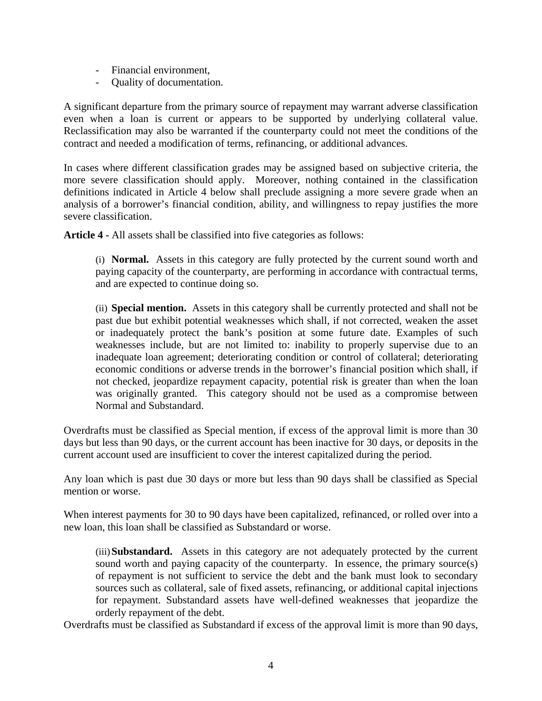- Financial environment,
- Quality of documentation.

A significant departure from the primary source of repayment may warrant adverse classification even when a loan is current or appears to be supported by underlying collateral value. Reclassification may also be warranted if the counterparty could not meet the conditions of the contract and needed a modification of terms, refinancing, or additional advances.

In cases where different classification grades may be assigned based on subjective criteria, the more severe classification should apply. Moreover, nothing contained in the classification definitions indicated in Article 4 below shall preclude assigning a more severe grade when an analysis of a borrower's financial condition, ability, and willingness to repay justifies the more severe classification.

**Article 4 -** All assets shall be classified into five categories as follows:

(i) **Normal.** Assets in this category are fully protected by the current sound worth and paying capacity of the counterparty, are performing in accordance with contractual terms, and are expected to continue doing so.

(ii) **Special mention.** Assets in this category shall be currently protected and shall not be past due but exhibit potential weaknesses which shall, if not corrected, weaken the asset or inadequately protect the bank's position at some future date. Examples of such weaknesses include, but are not limited to: inability to properly supervise due to an inadequate loan agreement; deteriorating condition or control of collateral; deteriorating economic conditions or adverse trends in the borrower's financial position which shall, if not checked, jeopardize repayment capacity, potential risk is greater than when the loan was originally granted. This category should not be used as a compromise between Normal and Substandard.

Overdrafts must be classified as Special mention, if excess of the approval limit is more than 30 days but less than 90 days, or the current account has been inactive for 30 days, or deposits in the current account used are insufficient to cover the interest capitalized during the period.

Any loan which is past due 30 days or more but less than 90 days shall be classified as Special mention or worse.

When interest payments for 30 to 90 days have been capitalized, refinanced, or rolled over into a new loan, this loan shall be classified as Substandard or worse.

(iii)**Substandard.** Assets in this category are not adequately protected by the current sound worth and paying capacity of the counterparty. In essence, the primary source(s) of repayment is not sufficient to service the debt and the bank must look to secondary sources such as collateral, sale of fixed assets, refinancing, or additional capital injections for repayment. Substandard assets have well-defined weaknesses that jeopardize the orderly repayment of the debt.

Overdrafts must be classified as Substandard if excess of the approval limit is more than 90 days,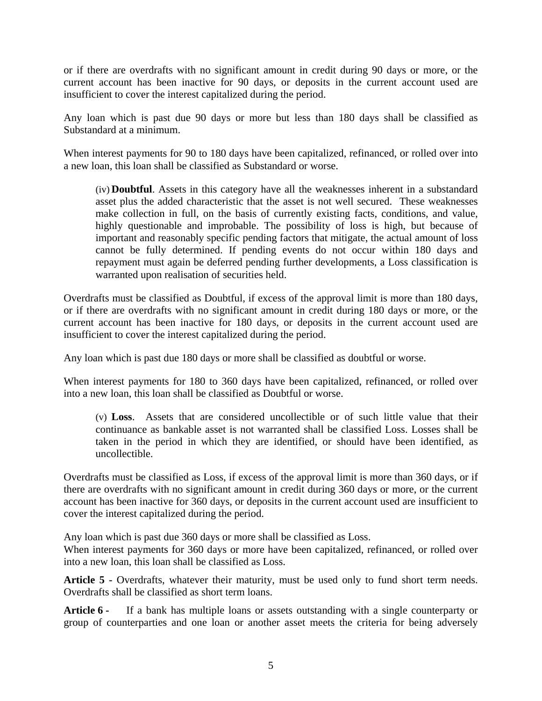or if there are overdrafts with no significant amount in credit during 90 days or more, or the current account has been inactive for 90 days, or deposits in the current account used are insufficient to cover the interest capitalized during the period.

Any loan which is past due 90 days or more but less than 180 days shall be classified as Substandard at a minimum.

When interest payments for 90 to 180 days have been capitalized, refinanced, or rolled over into a new loan, this loan shall be classified as Substandard or worse.

(iv) **Doubtful**. Assets in this category have all the weaknesses inherent in a substandard asset plus the added characteristic that the asset is not well secured. These weaknesses make collection in full, on the basis of currently existing facts, conditions, and value, highly questionable and improbable. The possibility of loss is high, but because of important and reasonably specific pending factors that mitigate, the actual amount of loss cannot be fully determined. If pending events do not occur within 180 days and repayment must again be deferred pending further developments, a Loss classification is warranted upon realisation of securities held.

Overdrafts must be classified as Doubtful, if excess of the approval limit is more than 180 days, or if there are overdrafts with no significant amount in credit during 180 days or more, or the current account has been inactive for 180 days, or deposits in the current account used are insufficient to cover the interest capitalized during the period.

Any loan which is past due 180 days or more shall be classified as doubtful or worse.

When interest payments for 180 to 360 days have been capitalized, refinanced, or rolled over into a new loan, this loan shall be classified as Doubtful or worse.

(v) **Loss**. Assets that are considered uncollectible or of such little value that their continuance as bankable asset is not warranted shall be classified Loss. Losses shall be taken in the period in which they are identified, or should have been identified, as uncollectible.

Overdrafts must be classified as Loss, if excess of the approval limit is more than 360 days, or if there are overdrafts with no significant amount in credit during 360 days or more, or the current account has been inactive for 360 days, or deposits in the current account used are insufficient to cover the interest capitalized during the period.

Any loan which is past due 360 days or more shall be classified as Loss.

When interest payments for 360 days or more have been capitalized, refinanced, or rolled over into a new loan, this loan shall be classified as Loss.

**Article 5 -** Overdrafts, whatever their maturity, must be used only to fund short term needs. Overdrafts shall be classified as short term loans.

**Article 6 -** If a bank has multiple loans or assets outstanding with a single counterparty or group of counterparties and one loan or another asset meets the criteria for being adversely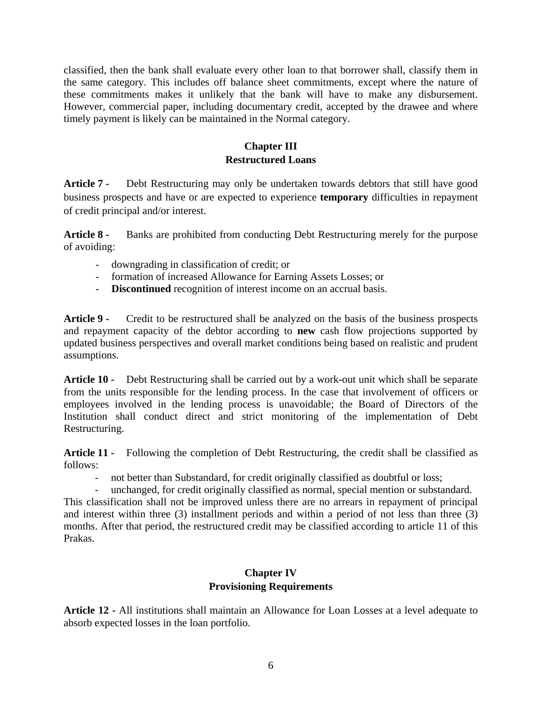classified, then the bank shall evaluate every other loan to that borrower shall, classify them in the same category. This includes off balance sheet commitments, except where the nature of these commitments makes it unlikely that the bank will have to make any disbursement. However, commercial paper, including documentary credit, accepted by the drawee and where timely payment is likely can be maintained in the Normal category.

## **Chapter III Restructured Loans**

**Article 7 -** Debt Restructuring may only be undertaken towards debtors that still have good business prospects and have or are expected to experience **temporary** difficulties in repayment of credit principal and/or interest.

**Article 8 -** Banks are prohibited from conducting Debt Restructuring merely for the purpose of avoiding:

- downgrading in classification of credit; or
- formation of increased Allowance for Earning Assets Losses; or
- - **Discontinued** recognition of interest income on an accrual basis.

**Article 9 -** Credit to be restructured shall be analyzed on the basis of the business prospects and repayment capacity of the debtor according to **new** cash flow projections supported by updated business perspectives and overall market conditions being based on realistic and prudent assumptions.

**Article 10 -** Debt Restructuring shall be carried out by a work**-**out unit which shall be separate from the units responsible for the lending process. In the case that involvement of officers or employees involved in the lending process is unavoidable; the Board of Directors of the Institution shall conduct direct and strict monitoring of the implementation of Debt Restructuring.

**Article 11 -** Following the completion of Debt Restructuring, the credit shall be classified as follows:

- not better than Substandard, for credit originally classified as doubtful or loss;
- unchanged, for credit originally classified as normal, special mention or substandard.

This classification shall not be improved unless there are no arrears in repayment of principal and interest within three (3) installment periods and within a period of not less than three (3) months. After that period, the restructured credit may be classified according to article 11 of this Prakas.

### **Chapter IV Provisioning Requirements**

**Article 12 -** All institutions shall maintain an Allowance for Loan Losses at a level adequate to absorb expected losses in the loan portfolio.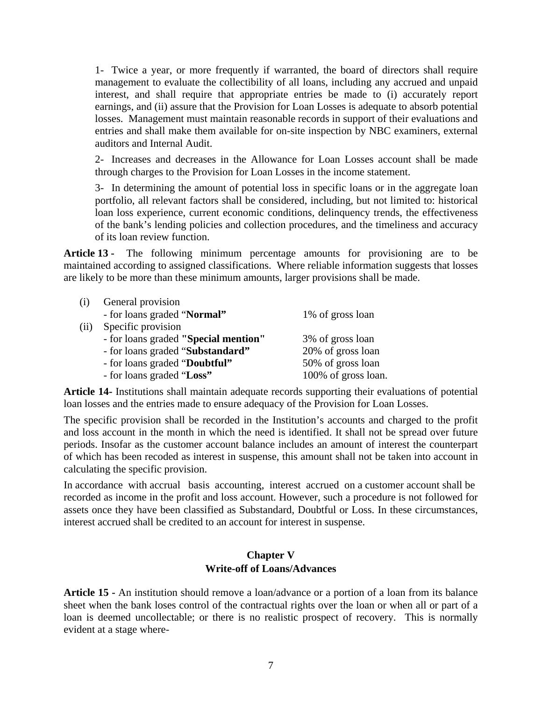1- Twice a year, or more frequently if warranted, the board of directors shall require management to evaluate the collectibility of all loans, including any accrued and unpaid interest, and shall require that appropriate entries be made to (i) accurately report earnings, and (ii) assure that the Provision for Loan Losses is adequate to absorb potential losses. Management must maintain reasonable records in support of their evaluations and entries and shall make them available for on-site inspection by NBC examiners, external auditors and Internal Audit.

 2- Increases and decreases in the Allowance for Loan Losses account shall be made through charges to the Provision for Loan Losses in the income statement.

 3- In determining the amount of potential loss in specific loans or in the aggregate loan portfolio, all relevant factors shall be considered, including, but not limited to: historical loan loss experience, current economic conditions, delinquency trends, the effectiveness of the bank's lending policies and collection procedures, and the timeliness and accuracy of its loan review function.

**Article 13 -** The following minimum percentage amounts for provisioning are to be maintained according to assigned classifications. Where reliable information suggests that losses are likely to be more than these minimum amounts, larger provisions shall be made.

| (i)  | General provision                    |                     |
|------|--------------------------------------|---------------------|
|      | - for loans graded "Normal"          | 1% of gross loan    |
| (ii) | Specific provision                   |                     |
|      | - for loans graded "Special mention" | 3% of gross loan    |
|      | - for loans graded "Substandard"     | 20% of gross loan   |
|      | - for loans graded "Doubtful"        | 50% of gross loan   |
|      | - for loans graded "Loss"            | 100% of gross loan. |

**Article 14-** Institutions shall maintain adequate records supporting their evaluations of potential loan losses and the entries made to ensure adequacy of the Provision for Loan Losses.

The specific provision shall be recorded in the Institution's accounts and charged to the profit and loss account in the month in which the need is identified. It shall not be spread over future periods. Insofar as the customer account balance includes an amount of interest the counterpart of which has been recoded as interest in suspense, this amount shall not be taken into account in calculating the specific provision.

In accordance with accrual basis accounting, interest accrued on a customer account shall be recorded as income in the profit and loss account. However, such a procedure is not followed for assets once they have been classified as Substandard, Doubtful or Loss. In these circumstances, interest accrued shall be credited to an account for interest in suspense.

#### **Chapter V Write-off of Loans/Advances**

**Article 15 -** An institution should remove a loan/advance or a portion of a loan from its balance sheet when the bank loses control of the contractual rights over the loan or when all or part of a loan is deemed uncollectable; or there is no realistic prospect of recovery. This is normally evident at a stage where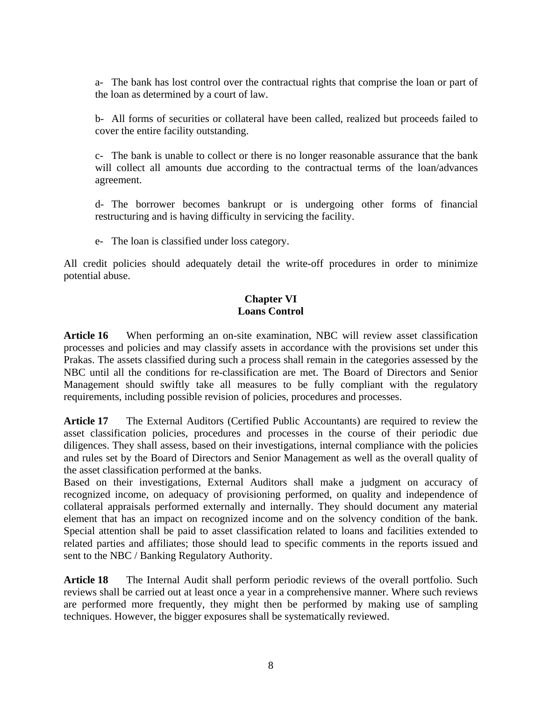a- The bank has lost control over the contractual rights that comprise the loan or part of the loan as determined by a court of law.

b- All forms of securities or collateral have been called, realized but proceeds failed to cover the entire facility outstanding.

c- The bank is unable to collect or there is no longer reasonable assurance that the bank will collect all amounts due according to the contractual terms of the loan/advances agreement.

d- The borrower becomes bankrupt or is undergoing other forms of financial restructuring and is having difficulty in servicing the facility.

e- The loan is classified under loss category.

All credit policies should adequately detail the write-off procedures in order to minimize potential abuse.

### **Chapter VI Loans Control**

**Article 16** When performing an on-site examination, NBC will review asset classification processes and policies and may classify assets in accordance with the provisions set under this Prakas. The assets classified during such a process shall remain in the categories assessed by the NBC until all the conditions for re-classification are met. The Board of Directors and Senior Management should swiftly take all measures to be fully compliant with the regulatory requirements, including possible revision of policies, procedures and processes.

**Article 17** The External Auditors (Certified Public Accountants) are required to review the asset classification policies, procedures and processes in the course of their periodic due diligences. They shall assess, based on their investigations, internal compliance with the policies and rules set by the Board of Directors and Senior Management as well as the overall quality of the asset classification performed at the banks.

Based on their investigations, External Auditors shall make a judgment on accuracy of recognized income, on adequacy of provisioning performed, on quality and independence of collateral appraisals performed externally and internally. They should document any material element that has an impact on recognized income and on the solvency condition of the bank. Special attention shall be paid to asset classification related to loans and facilities extended to related parties and affiliates; those should lead to specific comments in the reports issued and sent to the NBC / Banking Regulatory Authority.

**Article 18** The Internal Audit shall perform periodic reviews of the overall portfolio. Such reviews shall be carried out at least once a year in a comprehensive manner. Where such reviews are performed more frequently, they might then be performed by making use of sampling techniques. However, the bigger exposures shall be systematically reviewed.